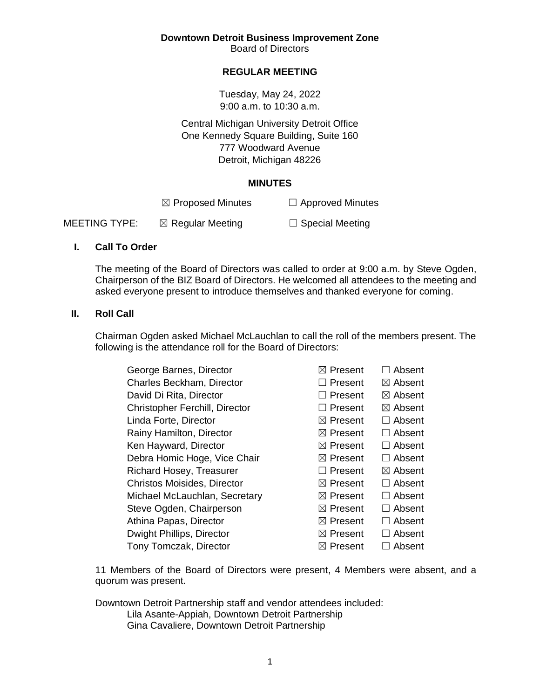**Downtown Detroit Business Improvement Zone**

Board of Directors

# **REGULAR MEETING**

Tuesday, May 24, 2022 9:00 a.m. to 10:30 a.m.

Central Michigan University Detroit Office One Kennedy Square Building, Suite 160 777 Woodward Avenue Detroit, Michigan 48226

#### **MINUTES**

|                      | $\boxtimes$ Proposed Minutes | $\Box$ Approved Minutes |
|----------------------|------------------------------|-------------------------|
| <b>MEETING TYPE:</b> | $\boxtimes$ Regular Meeting  | $\Box$ Special Meeting  |

#### **I. Call To Order**

The meeting of the Board of Directors was called to order at 9:00 a.m. by Steve Ogden, Chairperson of the BIZ Board of Directors. He welcomed all attendees to the meeting and asked everyone present to introduce themselves and thanked everyone for coming.

#### **II. Roll Call**

Chairman Ogden asked Michael McLauchlan to call the roll of the members present. The following is the attendance roll for the Board of Directors:

| George Barnes, Director               | $\boxtimes$ Present | Absent             |
|---------------------------------------|---------------------|--------------------|
| Charles Beckham, Director             | $\Box$ Present      | $\boxtimes$ Absent |
| David Di Rita, Director               | $\Box$ Present      | $\boxtimes$ Absent |
| <b>Christopher Ferchill, Director</b> | $\Box$ Present      | $\boxtimes$ Absent |
| Linda Forte, Director                 | $\boxtimes$ Present | Absent             |
| Rainy Hamilton, Director              | $\boxtimes$ Present | Absent             |
| Ken Hayward, Director                 | $\boxtimes$ Present | Absent             |
| Debra Homic Hoge, Vice Chair          | $\boxtimes$ Present | Absent             |
| Richard Hosey, Treasurer              | $\Box$ Present      | $\boxtimes$ Absent |
| <b>Christos Moisides, Director</b>    | $\boxtimes$ Present | Absent             |
| Michael McLauchlan, Secretary         | $\boxtimes$ Present | Absent             |
| Steve Ogden, Chairperson              | $\boxtimes$ Present | Absent             |
| Athina Papas, Director                | $\boxtimes$ Present | Absent             |
| Dwight Phillips, Director             | $\boxtimes$ Present | Absent             |
| Tony Tomczak, Director                | $\boxtimes$ Present | Absent             |
|                                       |                     |                    |

11 Members of the Board of Directors were present, 4 Members were absent, and a quorum was present.

Downtown Detroit Partnership staff and vendor attendees included: Lila Asante-Appiah, Downtown Detroit Partnership Gina Cavaliere, Downtown Detroit Partnership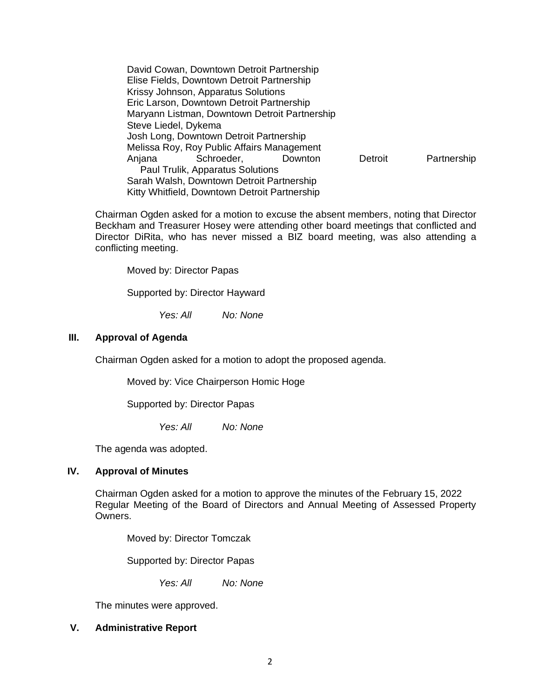David Cowan, Downtown Detroit Partnership Elise Fields, Downtown Detroit Partnership Krissy Johnson, Apparatus Solutions Eric Larson, Downtown Detroit Partnership Maryann Listman, Downtown Detroit Partnership Steve Liedel, Dykema Josh Long, Downtown Detroit Partnership Melissa Roy, Roy Public Affairs Management Anjana Schroeder, Downton Detroit Partnership Paul Trulik, Apparatus Solutions Sarah Walsh, Downtown Detroit Partnership Kitty Whitfield, Downtown Detroit Partnership

Chairman Ogden asked for a motion to excuse the absent members, noting that Director Beckham and Treasurer Hosey were attending other board meetings that conflicted and Director DiRita, who has never missed a BIZ board meeting, was also attending a conflicting meeting.

Moved by: Director Papas

Supported by: Director Hayward

*Yes: All No: None*

# **III. Approval of Agenda**

Chairman Ogden asked for a motion to adopt the proposed agenda.

Moved by: Vice Chairperson Homic Hoge

Supported by: Director Papas

*Yes: All No: None*

The agenda was adopted.

# **IV. Approval of Minutes**

Chairman Ogden asked for a motion to approve the minutes of the February 15, 2022 Regular Meeting of the Board of Directors and Annual Meeting of Assessed Property Owners.

Moved by: Director Tomczak

Supported by: Director Papas

*Yes: All No: None*

The minutes were approved.

# **V. Administrative Report**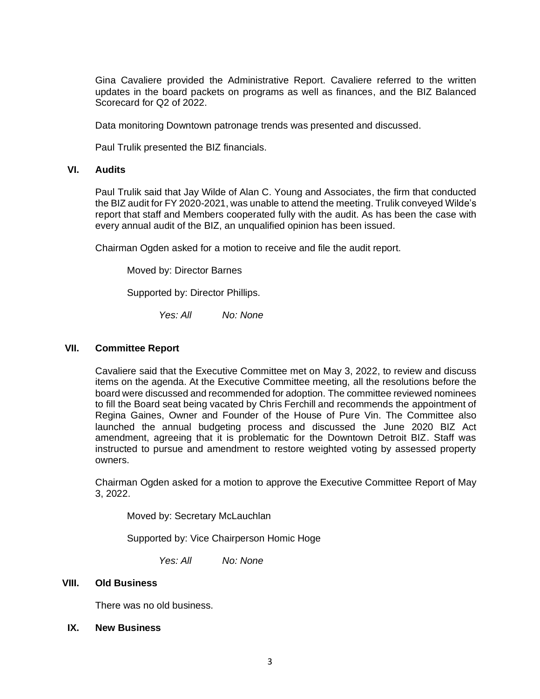Gina Cavaliere provided the Administrative Report. Cavaliere referred to the written updates in the board packets on programs as well as finances, and the BIZ Balanced Scorecard for Q2 of 2022.

Data monitoring Downtown patronage trends was presented and discussed.

Paul Trulik presented the BIZ financials.

## **VI. Audits**

Paul Trulik said that Jay Wilde of Alan C. Young and Associates, the firm that conducted the BIZ audit for FY 2020-2021, was unable to attend the meeting. Trulik conveyed Wilde's report that staff and Members cooperated fully with the audit. As has been the case with every annual audit of the BIZ, an unqualified opinion has been issued.

Chairman Ogden asked for a motion to receive and file the audit report.

Moved by: Director Barnes

Supported by: Director Phillips.

*Yes: All No: None*

#### **VII. Committee Report**

Cavaliere said that the Executive Committee met on May 3, 2022, to review and discuss items on the agenda. At the Executive Committee meeting, all the resolutions before the board were discussed and recommended for adoption. The committee reviewed nominees to fill the Board seat being vacated by Chris Ferchill and recommends the appointment of Regina Gaines, Owner and Founder of the House of Pure Vin. The Committee also launched the annual budgeting process and discussed the June 2020 BIZ Act amendment, agreeing that it is problematic for the Downtown Detroit BIZ. Staff was instructed to pursue and amendment to restore weighted voting by assessed property owners.

Chairman Ogden asked for a motion to approve the Executive Committee Report of May 3, 2022.

Moved by: Secretary McLauchlan

Supported by: Vice Chairperson Homic Hoge

*Yes: All No: None*

### **VIII. Old Business**

There was no old business.

#### **IX. New Business**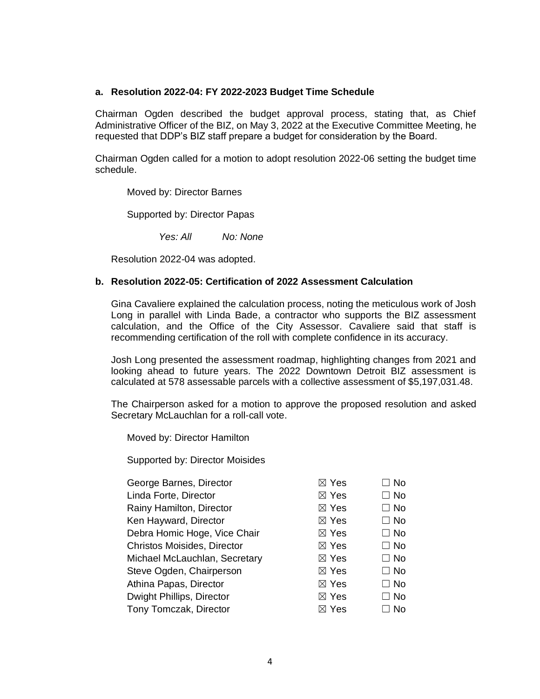#### **a. Resolution 2022-04: FY 2022-2023 Budget Time Schedule**

Chairman Ogden described the budget approval process, stating that, as Chief Administrative Officer of the BIZ, on May 3, 2022 at the Executive Committee Meeting, he requested that DDP's BIZ staff prepare a budget for consideration by the Board.

Chairman Ogden called for a motion to adopt resolution 2022-06 setting the budget time schedule.

Moved by: Director Barnes

Supported by: Director Papas

*Yes: All No: None*

Resolution 2022-04 was adopted.

#### **b. Resolution 2022-05: Certification of 2022 Assessment Calculation**

Gina Cavaliere explained the calculation process, noting the meticulous work of Josh Long in parallel with Linda Bade, a contractor who supports the BIZ assessment calculation, and the Office of the City Assessor. Cavaliere said that staff is recommending certification of the roll with complete confidence in its accuracy.

Josh Long presented the assessment roadmap, highlighting changes from 2021 and looking ahead to future years. The 2022 Downtown Detroit BIZ assessment is calculated at 578 assessable parcels with a collective assessment of \$5,197,031.48.

The Chairperson asked for a motion to approve the proposed resolution and asked Secretary McLauchlan for a roll-call vote.

Moved by: Director Hamilton

Supported by: Director Moisides

| $\boxtimes$ Yes | $\Box$ No |
|-----------------|-----------|
| $\boxtimes$ Yes | $\Box$ No |
| $\boxtimes$ Yes | $\Box$ No |
| $\boxtimes$ Yes | $\Box$ No |
| $\boxtimes$ Yes | $\Box$ No |
| $\boxtimes$ Yes | $\Box$ No |
| $\boxtimes$ Yes | $\Box$ No |
| $\boxtimes$ Yes | $\Box$ No |
| $\boxtimes$ Yes | $\Box$ No |
| $\boxtimes$ Yes | $\Box$ No |
| $\boxtimes$ Yes | No.       |
|                 |           |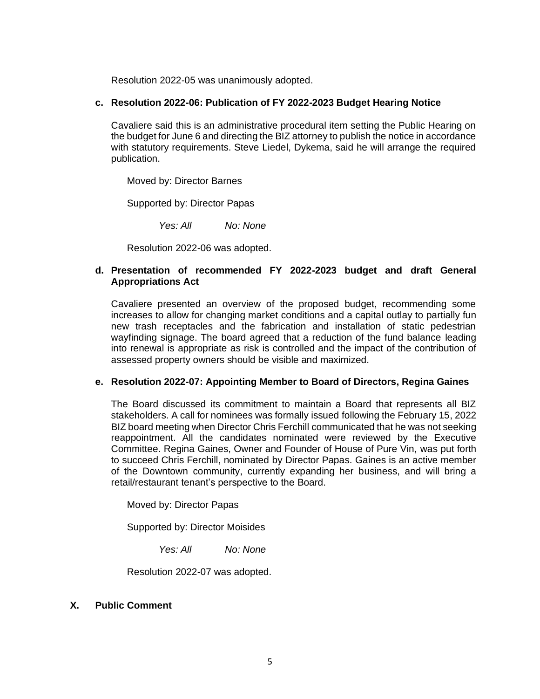Resolution 2022-05 was unanimously adopted.

#### **c. Resolution 2022-06: Publication of FY 2022-2023 Budget Hearing Notice**

Cavaliere said this is an administrative procedural item setting the Public Hearing on the budget for June 6 and directing the BIZ attorney to publish the notice in accordance with statutory requirements. Steve Liedel, Dykema, said he will arrange the required publication.

Moved by: Director Barnes

Supported by: Director Papas

*Yes: All No: None*

Resolution 2022-06 was adopted.

## **d. Presentation of recommended FY 2022-2023 budget and draft General Appropriations Act**

Cavaliere presented an overview of the proposed budget, recommending some increases to allow for changing market conditions and a capital outlay to partially fun new trash receptacles and the fabrication and installation of static pedestrian wayfinding signage. The board agreed that a reduction of the fund balance leading into renewal is appropriate as risk is controlled and the impact of the contribution of assessed property owners should be visible and maximized.

#### **e. Resolution 2022-07: Appointing Member to Board of Directors, Regina Gaines**

The Board discussed its commitment to maintain a Board that represents all BIZ stakeholders. A call for nominees was formally issued following the February 15, 2022 BIZ board meeting when Director Chris Ferchill communicated that he was not seeking reappointment. All the candidates nominated were reviewed by the Executive Committee. Regina Gaines, Owner and Founder of House of Pure Vin, was put forth to succeed Chris Ferchill, nominated by Director Papas. Gaines is an active member of the Downtown community, currently expanding her business, and will bring a retail/restaurant tenant's perspective to the Board.

Moved by: Director Papas

Supported by: Director Moisides

*Yes: All No: None*

Resolution 2022-07 was adopted.

# **X. Public Comment**